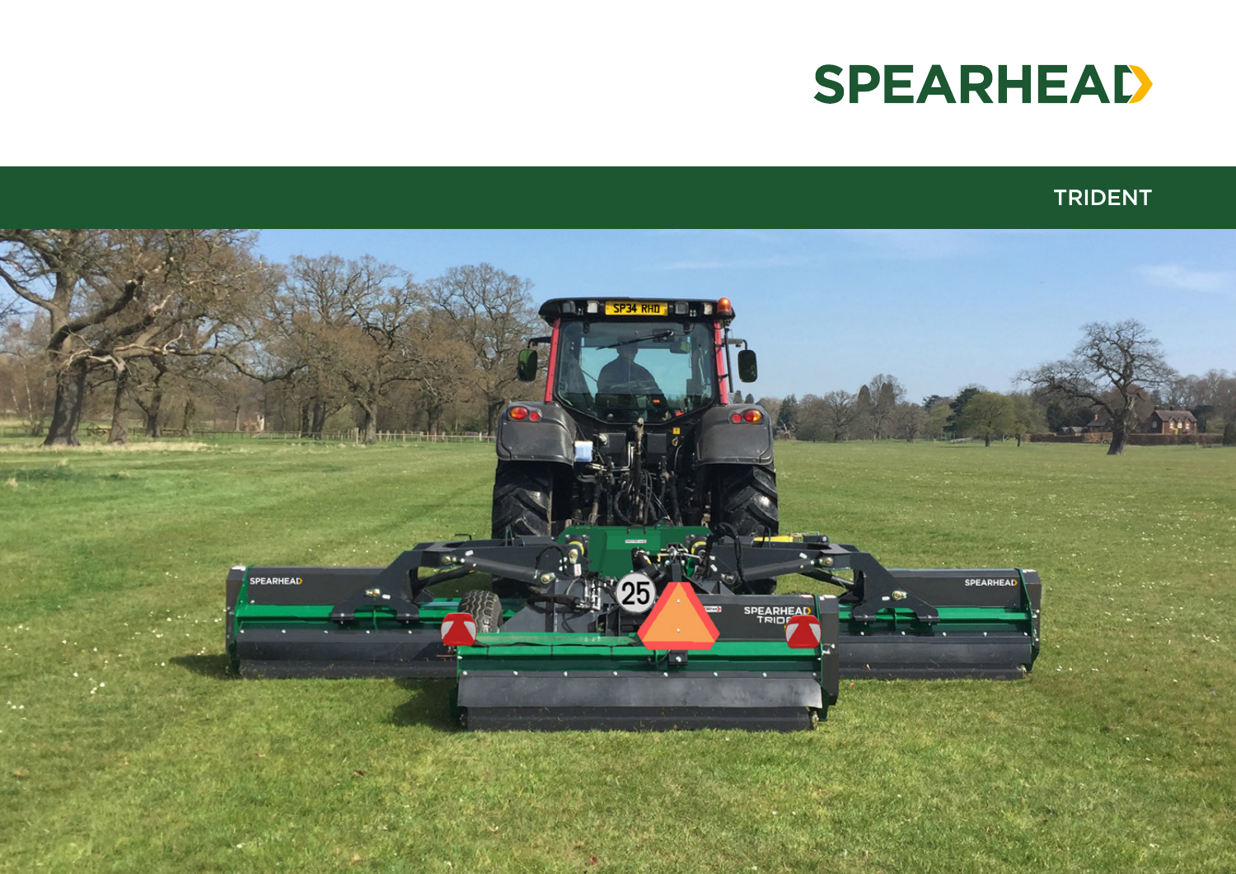

## TRIDENT

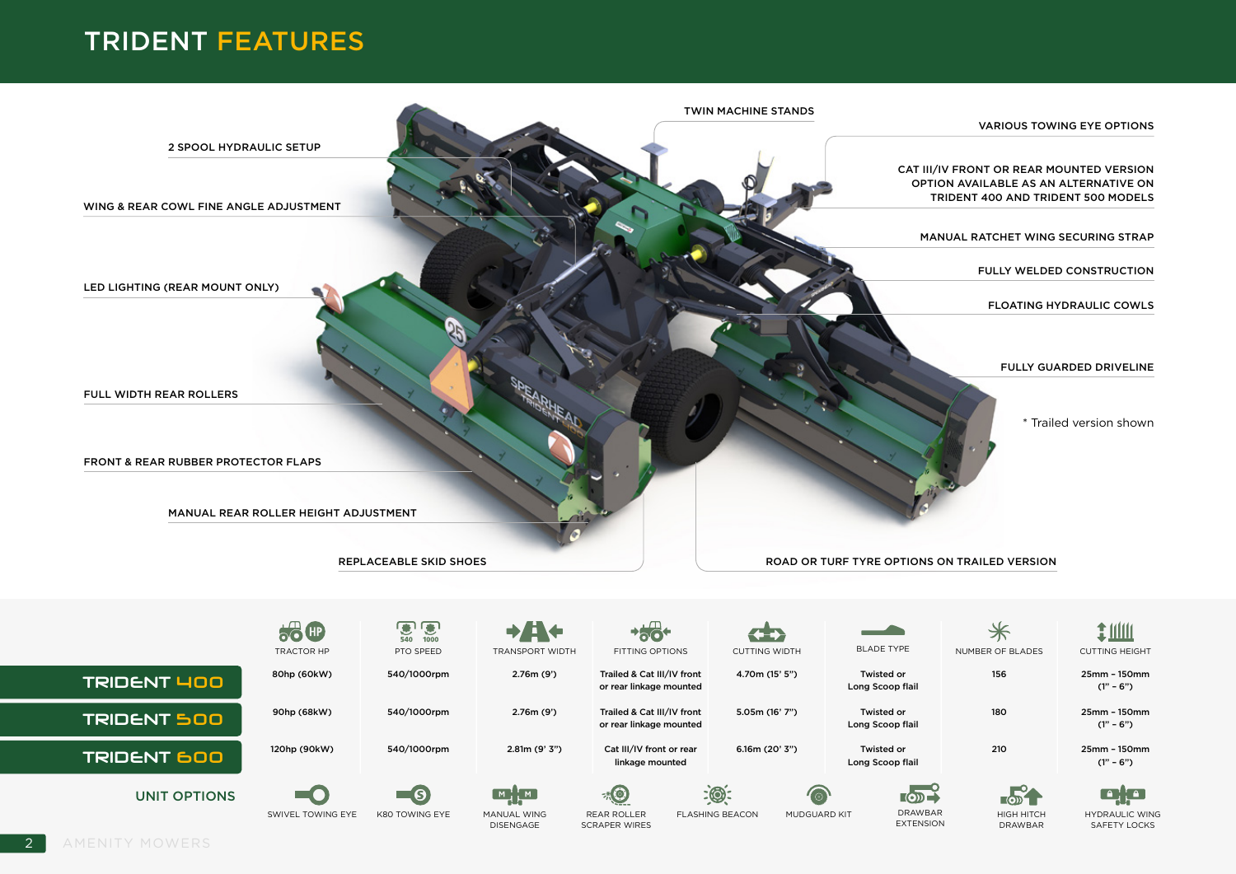## TRIDENT FEATURES

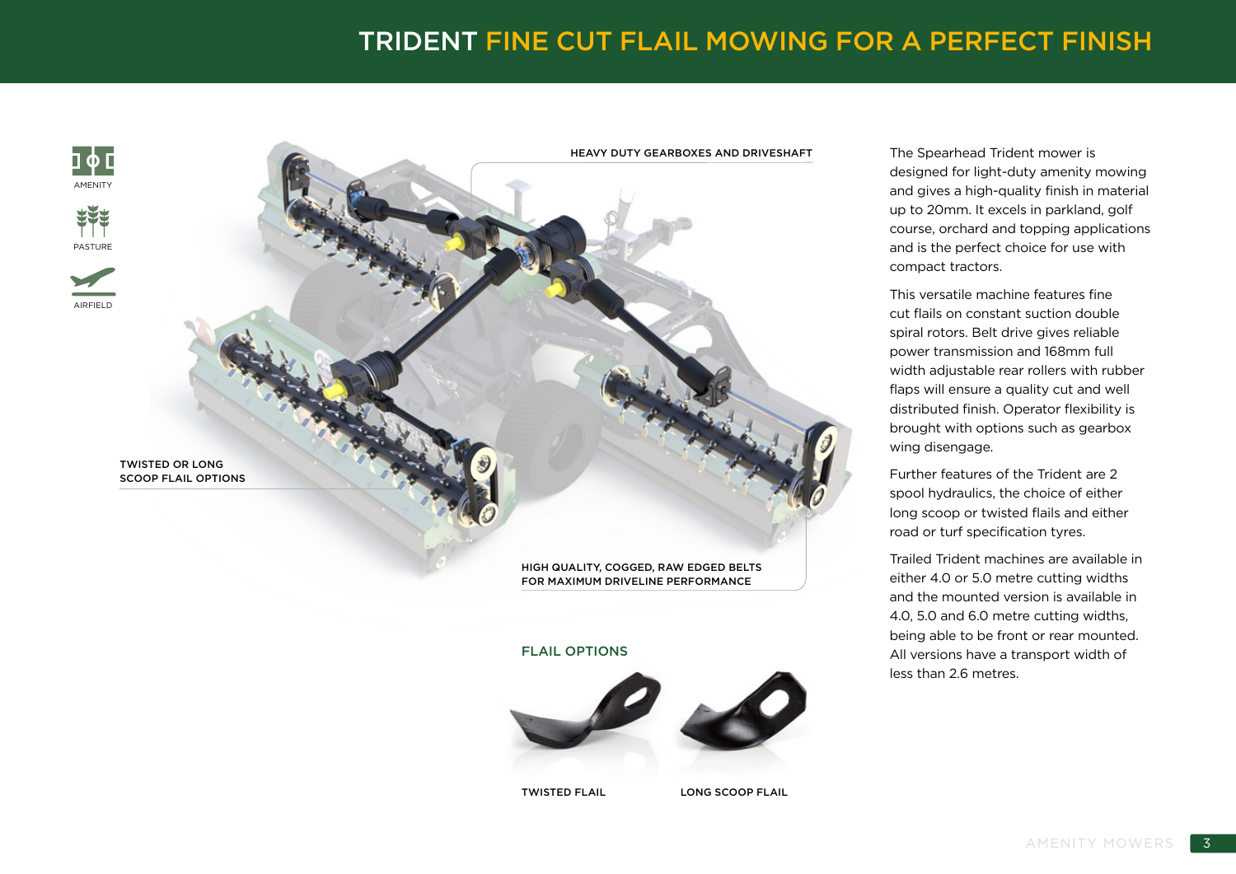## TRIDENT FINE CUT FLAIL MOWING FOR A PERFECT FINISH

HEAVY DUTY GEARBOXES AND DRIVESHAFT

ገሐГ **AMENITY** 





TWISTED OR LONG SCOOP FLAIL OPTIONS

### HIGH QUALITY, COGGED, RAW EDGED BELTS FOR MAXIMUM DRIVELINE PERFORMANCE

#### FLAIL OPTIONS



TWISTED FLAIL LONG SCOOP FLAIL

The Spearhead Trident mower is designed for light-duty amenity mowing and gives a high-quality finish in material up to 20mm. It excels in parkland, golf course, orchard and topping applications and is the perfect choice for use with compact tractors.

This versatile machine features fine cut flails on constant suction double spiral rotors. Belt drive gives reliable power transmission and 168mm full width adjustable rear rollers with rubber flaps will ensure a quality cut and well distributed finish. Operator flexibility is brought with options such as gearbox wing disengage.

Further features of the Trident are 2 spool hydraulics, the choice of either long scoop or twisted flails and either road or turf specification tyres.

Trailed Trident machines are available in either 4.0 or 5.0 metre cutting widths and the mounted version is available in 4.0, 5.0 and 6.0 metre cutting widths, being able to be front or rear mounted. All versions have a transport width of less than 2.6 metres.